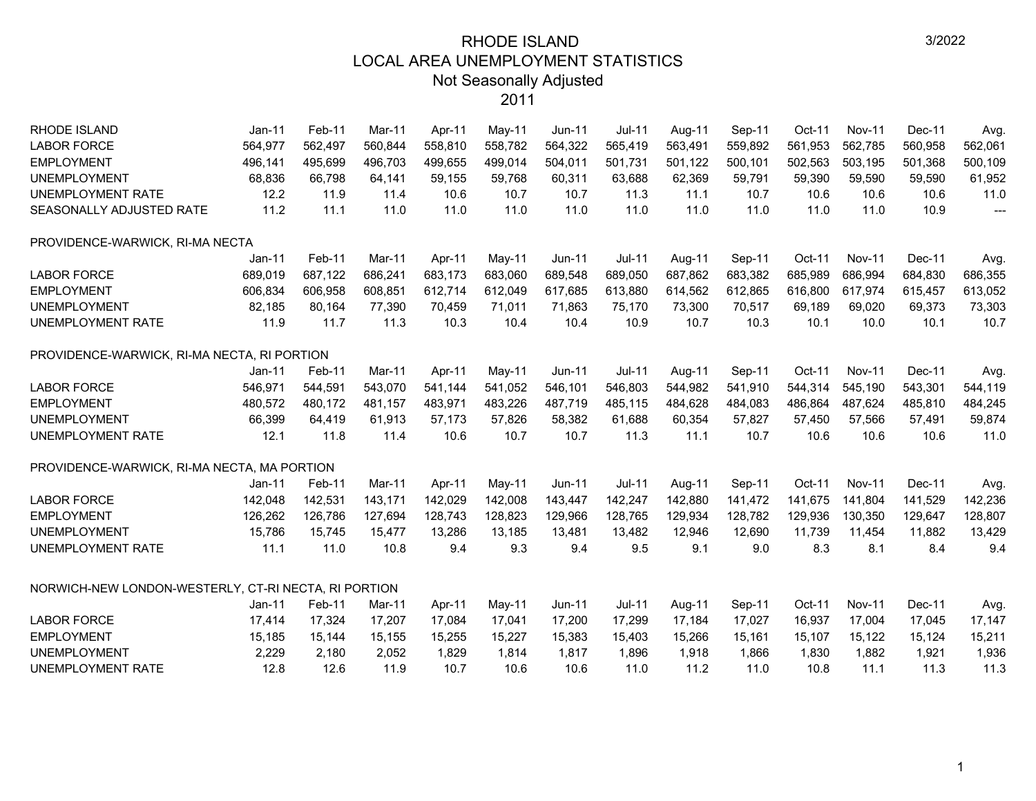| <b>LABOR FORCE</b><br>564,977<br>560,844<br>558,810<br>558,782<br>565,419<br>563,491<br>559,892<br>561,953<br>562,785<br>560,958<br>562,061<br>562,497<br>564,322<br><b>EMPLOYMENT</b><br>496,141<br>495,699<br>496,703<br>499,655<br>504,011<br>501,731<br>500,101<br>502,563<br>503,195<br>501,368<br>500,109<br>499,014<br>501,122<br>68,836<br>66,798<br>63,688<br>59,590<br><b>UNEMPLOYMENT</b><br>64,141<br>59,155<br>59,768<br>60,311<br>62,369<br>59,791<br>59,390<br>59,590<br>61,952<br>UNEMPLOYMENT RATE<br>12.2<br>11.9<br>11.4<br>10.7<br>10.7<br>10.7<br>10.6<br>11.0<br>10.6<br>11.3<br>11.1<br>10.6<br>10.6<br>11.2<br>11.1<br>11.0<br>11.0<br>11.0<br>10.9<br>SEASONALLY ADJUSTED RATE<br>11.0<br>11.0<br>11.0<br>11.0<br>11.0<br>11.0<br>---<br>PROVIDENCE-WARWICK, RI-MA NECTA<br>Feb-11<br>Mar-11<br>Apr-11<br>$Jun-11$<br>$Jul-11$<br>Oct-11<br><b>Nov-11</b><br>Dec-11<br>Jan-11<br>May-11<br>Aug-11<br>Sep-11<br>Avg.<br>689,019<br>687,122<br>686,241<br>683,173<br>689,548<br>689,050<br>687,862<br>683,382<br>685,989<br>686,994<br>684,830<br>686,355<br><b>LABOR FORCE</b><br>683,060<br>612,714<br>616,800<br><b>EMPLOYMENT</b><br>606,834<br>606,958<br>608,851<br>612,049<br>617,685<br>613,880<br>614,562<br>612,865<br>617,974<br>615,457<br>613,052<br><b>UNEMPLOYMENT</b><br>82,185<br>80,164<br>77,390<br>70,459<br>71,011<br>71,863<br>75,170<br>73,300<br>70,517<br>69,189<br>69,020<br>69,373<br>73,303<br>11.7<br>UNEMPLOYMENT RATE<br>11.9<br>11.3<br>10.3<br>10.4<br>10.4<br>10.9<br>10.7<br>10.3<br>10.1<br>10.1<br>10.7<br>10.0<br>PROVIDENCE-WARWICK, RI-MA NECTA, RI PORTION<br><b>Jul-11</b><br>$Jan-11$<br>Mar-11<br>Apr-11<br>$Jun-11$<br>Sep-11<br>$Oct-11$<br><b>Nov-11</b><br>Dec-11<br>Feb-11<br>May-11<br>Aug-11<br>Avg.<br>546,971<br>543,070<br>541,144<br>541,052<br>546,101<br>546,803<br>544,982<br>541,910<br>544,314<br>545,190<br>543,301<br>544,119<br>544,591<br><b>EMPLOYMENT</b><br>480,572<br>480,172<br>483,971<br>483,226<br>487,719<br>485,115<br>484,628<br>486,864<br>487,624<br>485,810<br>484,245<br>481,157<br>484,083<br><b>UNEMPLOYMENT</b><br>66,399<br>64,419<br>61,913<br>57,173<br>57,826<br>58,382<br>61,688<br>60,354<br>57,827<br>57,450<br>57,566<br>57,491<br>59,874<br>11.8<br>11.0<br>UNEMPLOYMENT RATE<br>12.1<br>11.4<br>10.6<br>10.7<br>10.7<br>11.3<br>11.1<br>10.7<br>10.6<br>10.6<br>10.6<br>PROVIDENCE-WARWICK, RI-MA NECTA, MA PORTION<br>$Jul-11$<br>Oct-11<br>Jan-11<br>Mar-11<br><b>Jun-11</b><br>Sep-11<br><b>Nov-11</b><br>Dec-11<br>Feb-11<br>Apr-11<br>May-11<br>Aug-11<br>Avg.<br>142,247<br>142,880<br>142,048<br>142,531<br>143,171<br>142,029<br>142,008<br>143,447<br>141,472<br>141,675<br>141,804<br>141,529<br>142,236<br>126,262<br>128,743<br>128,765<br>128,782<br>129,936<br>130,350<br><b>EMPLOYMENT</b><br>126,786<br>127,694<br>128,823<br>129,966<br>129,934<br>129,647<br>128,807<br>11,739<br><b>UNEMPLOYMENT</b><br>15,786<br>15,745<br>13,286<br>13,481<br>13,482<br>12,946<br>12,690<br>11,454<br>11,882<br>13,429<br>15,477<br>13,185<br>11.0<br>9.3<br>8.3<br>9.4<br>UNEMPLOYMENT RATE<br>11.1<br>10.8<br>9.4<br>9.4<br>9.5<br>9.1<br>9.0<br>8.1<br>8.4<br>NORWICH-NEW LONDON-WESTERLY, CT-RI NECTA, RI PORTION<br>Jan-11<br>Feb-11<br><b>Jun-11</b><br><b>Jul-11</b><br>Sep-11<br>Oct-11<br><b>Nov-11</b><br>Dec-11<br>Mar-11<br>Apr-11<br>May-11<br>Aug-11<br>Avg.<br><b>LABOR FORCE</b><br>17,414<br>17,324<br>17,207<br>17,084<br>17,200<br>17,299<br>17,184<br>17,027<br>16,937<br>17,004<br>17,147<br>17,041<br>17,045<br>15,122<br><b>EMPLOYMENT</b><br>15,185<br>15,144<br>15,155<br>15,255<br>15,227<br>15,383<br>15,403<br>15,266<br>15,161<br>15,107<br>15,124<br>15,211<br><b>UNEMPLOYMENT</b><br>2,229<br>2,180<br>1,814<br>1,830<br>1,936<br>2,052<br>1,829<br>1,817<br>1,896<br>1,918<br>1,866<br>1,882<br>1,921<br>UNEMPLOYMENT RATE<br>12.8<br>10.7<br>11.0<br>11.0<br>10.8 | RHODE ISLAND       | Jan-11 | Feb-11 | Mar-11 | Apr-11 | May-11 | <b>Jun-11</b> | <b>Jul-11</b> | Aug-11 | Sep-11 | Oct-11 | <b>Nov-11</b> | Dec-11 | Avg. |
|----------------------------------------------------------------------------------------------------------------------------------------------------------------------------------------------------------------------------------------------------------------------------------------------------------------------------------------------------------------------------------------------------------------------------------------------------------------------------------------------------------------------------------------------------------------------------------------------------------------------------------------------------------------------------------------------------------------------------------------------------------------------------------------------------------------------------------------------------------------------------------------------------------------------------------------------------------------------------------------------------------------------------------------------------------------------------------------------------------------------------------------------------------------------------------------------------------------------------------------------------------------------------------------------------------------------------------------------------------------------------------------------------------------------------------------------------------------------------------------------------------------------------------------------------------------------------------------------------------------------------------------------------------------------------------------------------------------------------------------------------------------------------------------------------------------------------------------------------------------------------------------------------------------------------------------------------------------------------------------------------------------------------------------------------------------------------------------------------------------------------------------------------------------------------------------------------------------------------------------------------------------------------------------------------------------------------------------------------------------------------------------------------------------------------------------------------------------------------------------------------------------------------------------------------------------------------------------------------------------------------------------------------------------------------------------------------------------------------------------------------------------------------------------------------------------------------------------------------------------------------------------------------------------------------------------------------------------------------------------------------------------------------------------------------------------------------------------------------------------------------------------------------------------------------------------------------------------------------------------------------------------------------------------------------------------------------------------------------------------------------------------------------------------------------------------------------------------------------------------------------------------------------------------------------------------------------------------------------------------------------------------------------------------------------------------------------------------------------------------------------------------------------------------------------------------------------------------------------------------------------------------------------------------------------|--------------------|--------|--------|--------|--------|--------|---------------|---------------|--------|--------|--------|---------------|--------|------|
|                                                                                                                                                                                                                                                                                                                                                                                                                                                                                                                                                                                                                                                                                                                                                                                                                                                                                                                                                                                                                                                                                                                                                                                                                                                                                                                                                                                                                                                                                                                                                                                                                                                                                                                                                                                                                                                                                                                                                                                                                                                                                                                                                                                                                                                                                                                                                                                                                                                                                                                                                                                                                                                                                                                                                                                                                                                                                                                                                                                                                                                                                                                                                                                                                                                                                                                                                                                                                                                                                                                                                                                                                                                                                                                                                                                                                                                                                                                            |                    |        |        |        |        |        |               |               |        |        |        |               |        |      |
|                                                                                                                                                                                                                                                                                                                                                                                                                                                                                                                                                                                                                                                                                                                                                                                                                                                                                                                                                                                                                                                                                                                                                                                                                                                                                                                                                                                                                                                                                                                                                                                                                                                                                                                                                                                                                                                                                                                                                                                                                                                                                                                                                                                                                                                                                                                                                                                                                                                                                                                                                                                                                                                                                                                                                                                                                                                                                                                                                                                                                                                                                                                                                                                                                                                                                                                                                                                                                                                                                                                                                                                                                                                                                                                                                                                                                                                                                                                            |                    |        |        |        |        |        |               |               |        |        |        |               |        |      |
|                                                                                                                                                                                                                                                                                                                                                                                                                                                                                                                                                                                                                                                                                                                                                                                                                                                                                                                                                                                                                                                                                                                                                                                                                                                                                                                                                                                                                                                                                                                                                                                                                                                                                                                                                                                                                                                                                                                                                                                                                                                                                                                                                                                                                                                                                                                                                                                                                                                                                                                                                                                                                                                                                                                                                                                                                                                                                                                                                                                                                                                                                                                                                                                                                                                                                                                                                                                                                                                                                                                                                                                                                                                                                                                                                                                                                                                                                                                            |                    |        |        |        |        |        |               |               |        |        |        |               |        |      |
|                                                                                                                                                                                                                                                                                                                                                                                                                                                                                                                                                                                                                                                                                                                                                                                                                                                                                                                                                                                                                                                                                                                                                                                                                                                                                                                                                                                                                                                                                                                                                                                                                                                                                                                                                                                                                                                                                                                                                                                                                                                                                                                                                                                                                                                                                                                                                                                                                                                                                                                                                                                                                                                                                                                                                                                                                                                                                                                                                                                                                                                                                                                                                                                                                                                                                                                                                                                                                                                                                                                                                                                                                                                                                                                                                                                                                                                                                                                            |                    |        |        |        |        |        |               |               |        |        |        |               |        |      |
|                                                                                                                                                                                                                                                                                                                                                                                                                                                                                                                                                                                                                                                                                                                                                                                                                                                                                                                                                                                                                                                                                                                                                                                                                                                                                                                                                                                                                                                                                                                                                                                                                                                                                                                                                                                                                                                                                                                                                                                                                                                                                                                                                                                                                                                                                                                                                                                                                                                                                                                                                                                                                                                                                                                                                                                                                                                                                                                                                                                                                                                                                                                                                                                                                                                                                                                                                                                                                                                                                                                                                                                                                                                                                                                                                                                                                                                                                                                            |                    |        |        |        |        |        |               |               |        |        |        |               |        |      |
|                                                                                                                                                                                                                                                                                                                                                                                                                                                                                                                                                                                                                                                                                                                                                                                                                                                                                                                                                                                                                                                                                                                                                                                                                                                                                                                                                                                                                                                                                                                                                                                                                                                                                                                                                                                                                                                                                                                                                                                                                                                                                                                                                                                                                                                                                                                                                                                                                                                                                                                                                                                                                                                                                                                                                                                                                                                                                                                                                                                                                                                                                                                                                                                                                                                                                                                                                                                                                                                                                                                                                                                                                                                                                                                                                                                                                                                                                                                            |                    |        |        |        |        |        |               |               |        |        |        |               |        |      |
|                                                                                                                                                                                                                                                                                                                                                                                                                                                                                                                                                                                                                                                                                                                                                                                                                                                                                                                                                                                                                                                                                                                                                                                                                                                                                                                                                                                                                                                                                                                                                                                                                                                                                                                                                                                                                                                                                                                                                                                                                                                                                                                                                                                                                                                                                                                                                                                                                                                                                                                                                                                                                                                                                                                                                                                                                                                                                                                                                                                                                                                                                                                                                                                                                                                                                                                                                                                                                                                                                                                                                                                                                                                                                                                                                                                                                                                                                                                            |                    |        |        |        |        |        |               |               |        |        |        |               |        |      |
|                                                                                                                                                                                                                                                                                                                                                                                                                                                                                                                                                                                                                                                                                                                                                                                                                                                                                                                                                                                                                                                                                                                                                                                                                                                                                                                                                                                                                                                                                                                                                                                                                                                                                                                                                                                                                                                                                                                                                                                                                                                                                                                                                                                                                                                                                                                                                                                                                                                                                                                                                                                                                                                                                                                                                                                                                                                                                                                                                                                                                                                                                                                                                                                                                                                                                                                                                                                                                                                                                                                                                                                                                                                                                                                                                                                                                                                                                                                            |                    |        |        |        |        |        |               |               |        |        |        |               |        |      |
|                                                                                                                                                                                                                                                                                                                                                                                                                                                                                                                                                                                                                                                                                                                                                                                                                                                                                                                                                                                                                                                                                                                                                                                                                                                                                                                                                                                                                                                                                                                                                                                                                                                                                                                                                                                                                                                                                                                                                                                                                                                                                                                                                                                                                                                                                                                                                                                                                                                                                                                                                                                                                                                                                                                                                                                                                                                                                                                                                                                                                                                                                                                                                                                                                                                                                                                                                                                                                                                                                                                                                                                                                                                                                                                                                                                                                                                                                                                            |                    |        |        |        |        |        |               |               |        |        |        |               |        |      |
|                                                                                                                                                                                                                                                                                                                                                                                                                                                                                                                                                                                                                                                                                                                                                                                                                                                                                                                                                                                                                                                                                                                                                                                                                                                                                                                                                                                                                                                                                                                                                                                                                                                                                                                                                                                                                                                                                                                                                                                                                                                                                                                                                                                                                                                                                                                                                                                                                                                                                                                                                                                                                                                                                                                                                                                                                                                                                                                                                                                                                                                                                                                                                                                                                                                                                                                                                                                                                                                                                                                                                                                                                                                                                                                                                                                                                                                                                                                            |                    |        |        |        |        |        |               |               |        |        |        |               |        |      |
|                                                                                                                                                                                                                                                                                                                                                                                                                                                                                                                                                                                                                                                                                                                                                                                                                                                                                                                                                                                                                                                                                                                                                                                                                                                                                                                                                                                                                                                                                                                                                                                                                                                                                                                                                                                                                                                                                                                                                                                                                                                                                                                                                                                                                                                                                                                                                                                                                                                                                                                                                                                                                                                                                                                                                                                                                                                                                                                                                                                                                                                                                                                                                                                                                                                                                                                                                                                                                                                                                                                                                                                                                                                                                                                                                                                                                                                                                                                            |                    |        |        |        |        |        |               |               |        |        |        |               |        |      |
|                                                                                                                                                                                                                                                                                                                                                                                                                                                                                                                                                                                                                                                                                                                                                                                                                                                                                                                                                                                                                                                                                                                                                                                                                                                                                                                                                                                                                                                                                                                                                                                                                                                                                                                                                                                                                                                                                                                                                                                                                                                                                                                                                                                                                                                                                                                                                                                                                                                                                                                                                                                                                                                                                                                                                                                                                                                                                                                                                                                                                                                                                                                                                                                                                                                                                                                                                                                                                                                                                                                                                                                                                                                                                                                                                                                                                                                                                                                            |                    |        |        |        |        |        |               |               |        |        |        |               |        |      |
|                                                                                                                                                                                                                                                                                                                                                                                                                                                                                                                                                                                                                                                                                                                                                                                                                                                                                                                                                                                                                                                                                                                                                                                                                                                                                                                                                                                                                                                                                                                                                                                                                                                                                                                                                                                                                                                                                                                                                                                                                                                                                                                                                                                                                                                                                                                                                                                                                                                                                                                                                                                                                                                                                                                                                                                                                                                                                                                                                                                                                                                                                                                                                                                                                                                                                                                                                                                                                                                                                                                                                                                                                                                                                                                                                                                                                                                                                                                            |                    |        |        |        |        |        |               |               |        |        |        |               |        |      |
|                                                                                                                                                                                                                                                                                                                                                                                                                                                                                                                                                                                                                                                                                                                                                                                                                                                                                                                                                                                                                                                                                                                                                                                                                                                                                                                                                                                                                                                                                                                                                                                                                                                                                                                                                                                                                                                                                                                                                                                                                                                                                                                                                                                                                                                                                                                                                                                                                                                                                                                                                                                                                                                                                                                                                                                                                                                                                                                                                                                                                                                                                                                                                                                                                                                                                                                                                                                                                                                                                                                                                                                                                                                                                                                                                                                                                                                                                                                            | <b>LABOR FORCE</b> |        |        |        |        |        |               |               |        |        |        |               |        |      |
|                                                                                                                                                                                                                                                                                                                                                                                                                                                                                                                                                                                                                                                                                                                                                                                                                                                                                                                                                                                                                                                                                                                                                                                                                                                                                                                                                                                                                                                                                                                                                                                                                                                                                                                                                                                                                                                                                                                                                                                                                                                                                                                                                                                                                                                                                                                                                                                                                                                                                                                                                                                                                                                                                                                                                                                                                                                                                                                                                                                                                                                                                                                                                                                                                                                                                                                                                                                                                                                                                                                                                                                                                                                                                                                                                                                                                                                                                                                            |                    |        |        |        |        |        |               |               |        |        |        |               |        |      |
|                                                                                                                                                                                                                                                                                                                                                                                                                                                                                                                                                                                                                                                                                                                                                                                                                                                                                                                                                                                                                                                                                                                                                                                                                                                                                                                                                                                                                                                                                                                                                                                                                                                                                                                                                                                                                                                                                                                                                                                                                                                                                                                                                                                                                                                                                                                                                                                                                                                                                                                                                                                                                                                                                                                                                                                                                                                                                                                                                                                                                                                                                                                                                                                                                                                                                                                                                                                                                                                                                                                                                                                                                                                                                                                                                                                                                                                                                                                            |                    |        |        |        |        |        |               |               |        |        |        |               |        |      |
|                                                                                                                                                                                                                                                                                                                                                                                                                                                                                                                                                                                                                                                                                                                                                                                                                                                                                                                                                                                                                                                                                                                                                                                                                                                                                                                                                                                                                                                                                                                                                                                                                                                                                                                                                                                                                                                                                                                                                                                                                                                                                                                                                                                                                                                                                                                                                                                                                                                                                                                                                                                                                                                                                                                                                                                                                                                                                                                                                                                                                                                                                                                                                                                                                                                                                                                                                                                                                                                                                                                                                                                                                                                                                                                                                                                                                                                                                                                            |                    |        |        |        |        |        |               |               |        |        |        |               |        |      |
|                                                                                                                                                                                                                                                                                                                                                                                                                                                                                                                                                                                                                                                                                                                                                                                                                                                                                                                                                                                                                                                                                                                                                                                                                                                                                                                                                                                                                                                                                                                                                                                                                                                                                                                                                                                                                                                                                                                                                                                                                                                                                                                                                                                                                                                                                                                                                                                                                                                                                                                                                                                                                                                                                                                                                                                                                                                                                                                                                                                                                                                                                                                                                                                                                                                                                                                                                                                                                                                                                                                                                                                                                                                                                                                                                                                                                                                                                                                            |                    |        |        |        |        |        |               |               |        |        |        |               |        |      |
|                                                                                                                                                                                                                                                                                                                                                                                                                                                                                                                                                                                                                                                                                                                                                                                                                                                                                                                                                                                                                                                                                                                                                                                                                                                                                                                                                                                                                                                                                                                                                                                                                                                                                                                                                                                                                                                                                                                                                                                                                                                                                                                                                                                                                                                                                                                                                                                                                                                                                                                                                                                                                                                                                                                                                                                                                                                                                                                                                                                                                                                                                                                                                                                                                                                                                                                                                                                                                                                                                                                                                                                                                                                                                                                                                                                                                                                                                                                            |                    |        |        |        |        |        |               |               |        |        |        |               |        |      |
|                                                                                                                                                                                                                                                                                                                                                                                                                                                                                                                                                                                                                                                                                                                                                                                                                                                                                                                                                                                                                                                                                                                                                                                                                                                                                                                                                                                                                                                                                                                                                                                                                                                                                                                                                                                                                                                                                                                                                                                                                                                                                                                                                                                                                                                                                                                                                                                                                                                                                                                                                                                                                                                                                                                                                                                                                                                                                                                                                                                                                                                                                                                                                                                                                                                                                                                                                                                                                                                                                                                                                                                                                                                                                                                                                                                                                                                                                                                            | <b>LABOR FORCE</b> |        |        |        |        |        |               |               |        |        |        |               |        |      |
|                                                                                                                                                                                                                                                                                                                                                                                                                                                                                                                                                                                                                                                                                                                                                                                                                                                                                                                                                                                                                                                                                                                                                                                                                                                                                                                                                                                                                                                                                                                                                                                                                                                                                                                                                                                                                                                                                                                                                                                                                                                                                                                                                                                                                                                                                                                                                                                                                                                                                                                                                                                                                                                                                                                                                                                                                                                                                                                                                                                                                                                                                                                                                                                                                                                                                                                                                                                                                                                                                                                                                                                                                                                                                                                                                                                                                                                                                                                            |                    |        |        |        |        |        |               |               |        |        |        |               |        |      |
|                                                                                                                                                                                                                                                                                                                                                                                                                                                                                                                                                                                                                                                                                                                                                                                                                                                                                                                                                                                                                                                                                                                                                                                                                                                                                                                                                                                                                                                                                                                                                                                                                                                                                                                                                                                                                                                                                                                                                                                                                                                                                                                                                                                                                                                                                                                                                                                                                                                                                                                                                                                                                                                                                                                                                                                                                                                                                                                                                                                                                                                                                                                                                                                                                                                                                                                                                                                                                                                                                                                                                                                                                                                                                                                                                                                                                                                                                                                            |                    |        |        |        |        |        |               |               |        |        |        |               |        |      |
|                                                                                                                                                                                                                                                                                                                                                                                                                                                                                                                                                                                                                                                                                                                                                                                                                                                                                                                                                                                                                                                                                                                                                                                                                                                                                                                                                                                                                                                                                                                                                                                                                                                                                                                                                                                                                                                                                                                                                                                                                                                                                                                                                                                                                                                                                                                                                                                                                                                                                                                                                                                                                                                                                                                                                                                                                                                                                                                                                                                                                                                                                                                                                                                                                                                                                                                                                                                                                                                                                                                                                                                                                                                                                                                                                                                                                                                                                                                            |                    |        |        |        |        |        |               |               |        |        |        |               |        |      |
|                                                                                                                                                                                                                                                                                                                                                                                                                                                                                                                                                                                                                                                                                                                                                                                                                                                                                                                                                                                                                                                                                                                                                                                                                                                                                                                                                                                                                                                                                                                                                                                                                                                                                                                                                                                                                                                                                                                                                                                                                                                                                                                                                                                                                                                                                                                                                                                                                                                                                                                                                                                                                                                                                                                                                                                                                                                                                                                                                                                                                                                                                                                                                                                                                                                                                                                                                                                                                                                                                                                                                                                                                                                                                                                                                                                                                                                                                                                            |                    |        |        |        |        |        |               |               |        |        |        |               |        |      |
|                                                                                                                                                                                                                                                                                                                                                                                                                                                                                                                                                                                                                                                                                                                                                                                                                                                                                                                                                                                                                                                                                                                                                                                                                                                                                                                                                                                                                                                                                                                                                                                                                                                                                                                                                                                                                                                                                                                                                                                                                                                                                                                                                                                                                                                                                                                                                                                                                                                                                                                                                                                                                                                                                                                                                                                                                                                                                                                                                                                                                                                                                                                                                                                                                                                                                                                                                                                                                                                                                                                                                                                                                                                                                                                                                                                                                                                                                                                            |                    |        |        |        |        |        |               |               |        |        |        |               |        |      |
|                                                                                                                                                                                                                                                                                                                                                                                                                                                                                                                                                                                                                                                                                                                                                                                                                                                                                                                                                                                                                                                                                                                                                                                                                                                                                                                                                                                                                                                                                                                                                                                                                                                                                                                                                                                                                                                                                                                                                                                                                                                                                                                                                                                                                                                                                                                                                                                                                                                                                                                                                                                                                                                                                                                                                                                                                                                                                                                                                                                                                                                                                                                                                                                                                                                                                                                                                                                                                                                                                                                                                                                                                                                                                                                                                                                                                                                                                                                            |                    |        |        |        |        |        |               |               |        |        |        |               |        |      |
|                                                                                                                                                                                                                                                                                                                                                                                                                                                                                                                                                                                                                                                                                                                                                                                                                                                                                                                                                                                                                                                                                                                                                                                                                                                                                                                                                                                                                                                                                                                                                                                                                                                                                                                                                                                                                                                                                                                                                                                                                                                                                                                                                                                                                                                                                                                                                                                                                                                                                                                                                                                                                                                                                                                                                                                                                                                                                                                                                                                                                                                                                                                                                                                                                                                                                                                                                                                                                                                                                                                                                                                                                                                                                                                                                                                                                                                                                                                            |                    |        |        |        |        |        |               |               |        |        |        |               |        |      |
|                                                                                                                                                                                                                                                                                                                                                                                                                                                                                                                                                                                                                                                                                                                                                                                                                                                                                                                                                                                                                                                                                                                                                                                                                                                                                                                                                                                                                                                                                                                                                                                                                                                                                                                                                                                                                                                                                                                                                                                                                                                                                                                                                                                                                                                                                                                                                                                                                                                                                                                                                                                                                                                                                                                                                                                                                                                                                                                                                                                                                                                                                                                                                                                                                                                                                                                                                                                                                                                                                                                                                                                                                                                                                                                                                                                                                                                                                                                            |                    |        |        |        |        |        |               |               |        |        |        |               |        |      |
|                                                                                                                                                                                                                                                                                                                                                                                                                                                                                                                                                                                                                                                                                                                                                                                                                                                                                                                                                                                                                                                                                                                                                                                                                                                                                                                                                                                                                                                                                                                                                                                                                                                                                                                                                                                                                                                                                                                                                                                                                                                                                                                                                                                                                                                                                                                                                                                                                                                                                                                                                                                                                                                                                                                                                                                                                                                                                                                                                                                                                                                                                                                                                                                                                                                                                                                                                                                                                                                                                                                                                                                                                                                                                                                                                                                                                                                                                                                            |                    |        | 12.6   | 11.9   |        | 10.6   | 10.6          |               | 11.2   |        |        | 11.1          | 11.3   | 11.3 |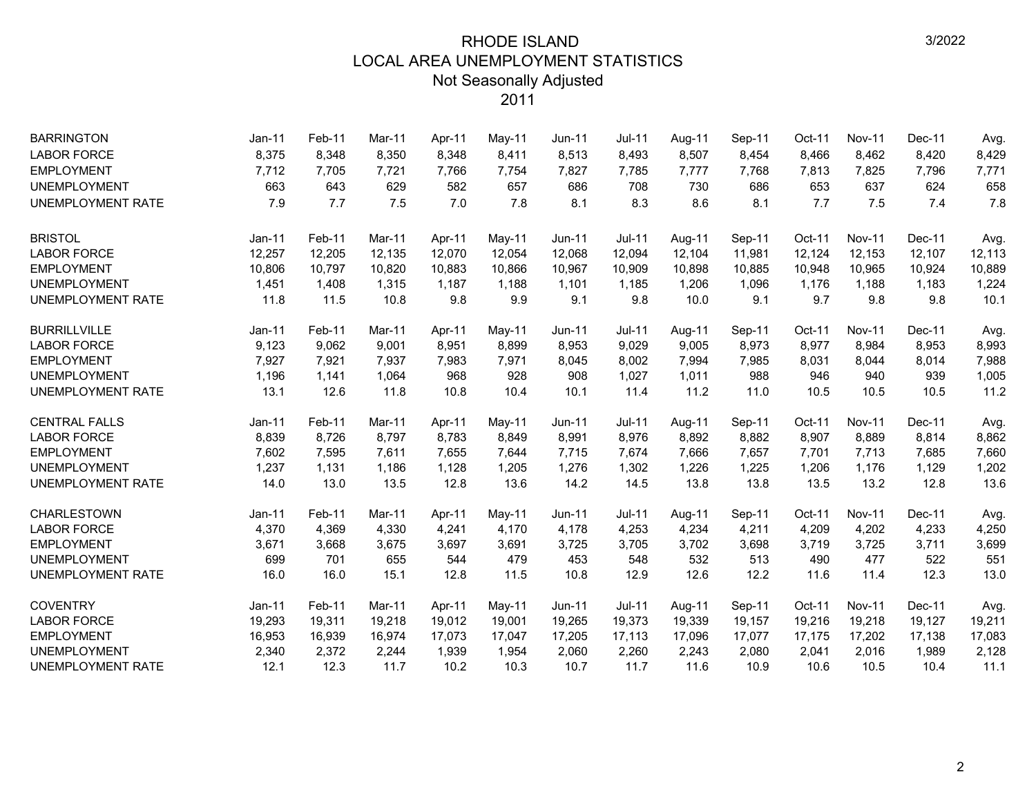| <b>BARRINGTON</b>        | <b>Jan-11</b> | Feb-11 | Mar-11 | Apr-11 | May-11 | Jun-11        | Jul-11        | Aug-11 | Sep-11 | Oct-11 | <b>Nov-11</b> | Dec-11 | Avg.   |
|--------------------------|---------------|--------|--------|--------|--------|---------------|---------------|--------|--------|--------|---------------|--------|--------|
| <b>LABOR FORCE</b>       | 8,375         | 8,348  | 8,350  | 8,348  | 8,411  | 8,513         | 8,493         | 8,507  | 8,454  | 8,466  | 8,462         | 8,420  | 8,429  |
| <b>EMPLOYMENT</b>        | 7,712         | 7,705  | 7,721  | 7,766  | 7,754  | 7,827         | 7,785         | 7,777  | 7,768  | 7,813  | 7,825         | 7,796  | 7,771  |
| <b>UNEMPLOYMENT</b>      | 663           | 643    | 629    | 582    | 657    | 686           | 708           | 730    | 686    | 653    | 637           | 624    | 658    |
| <b>UNEMPLOYMENT RATE</b> | 7.9           | 7.7    | 7.5    | 7.0    | 7.8    | 8.1           | 8.3           | 8.6    | 8.1    | 7.7    | 7.5           | 7.4    | 7.8    |
| <b>BRISTOL</b>           | Jan-11        | Feb-11 | Mar-11 | Apr-11 | May-11 | <b>Jun-11</b> | <b>Jul-11</b> | Aug-11 | Sep-11 | Oct-11 | <b>Nov-11</b> | Dec-11 | Avg.   |
| <b>LABOR FORCE</b>       | 12,257        | 12,205 | 12,135 | 12,070 | 12,054 | 12,068        | 12,094        | 12,104 | 11,981 | 12,124 | 12,153        | 12,107 | 12,113 |
| <b>EMPLOYMENT</b>        | 10,806        | 10,797 | 10,820 | 10,883 | 10,866 | 10,967        | 10,909        | 10,898 | 10,885 | 10,948 | 10,965        | 10,924 | 10,889 |
| <b>UNEMPLOYMENT</b>      | 1,451         | 1,408  | 1,315  | 1,187  | 1,188  | 1,101         | 1,185         | 1,206  | 1,096  | 1,176  | 1,188         | 1,183  | 1,224  |
| <b>UNEMPLOYMENT RATE</b> | 11.8          | 11.5   | 10.8   | 9.8    | 9.9    | 9.1           | 9.8           | 10.0   | 9.1    | 9.7    | 9.8           | 9.8    | 10.1   |
| <b>BURRILLVILLE</b>      | Jan-11        | Feb-11 | Mar-11 | Apr-11 | May-11 | Jun-11        | <b>Jul-11</b> | Aug-11 | Sep-11 | Oct-11 | <b>Nov-11</b> | Dec-11 | Avg.   |
| <b>LABOR FORCE</b>       | 9,123         | 9,062  | 9,001  | 8,951  | 8,899  | 8,953         | 9,029         | 9,005  | 8,973  | 8,977  | 8,984         | 8,953  | 8,993  |
| <b>EMPLOYMENT</b>        | 7,927         | 7,921  | 7,937  | 7,983  | 7,971  | 8,045         | 8,002         | 7,994  | 7,985  | 8,031  | 8,044         | 8,014  | 7,988  |
| <b>UNEMPLOYMENT</b>      | 1,196         | 1,141  | 1,064  | 968    | 928    | 908           | 1,027         | 1,011  | 988    | 946    | 940           | 939    | 1,005  |
| <b>UNEMPLOYMENT RATE</b> | 13.1          | 12.6   | 11.8   | 10.8   | 10.4   | 10.1          | 11.4          | 11.2   | 11.0   | 10.5   | 10.5          | 10.5   | 11.2   |
| <b>CENTRAL FALLS</b>     | Jan-11        | Feb-11 | Mar-11 | Apr-11 | May-11 | Jun-11        | <b>Jul-11</b> | Aug-11 | Sep-11 | Oct-11 | <b>Nov-11</b> | Dec-11 | Avg.   |
| <b>LABOR FORCE</b>       | 8,839         | 8,726  | 8,797  | 8,783  | 8,849  | 8,991         | 8,976         | 8,892  | 8,882  | 8,907  | 8,889         | 8,814  | 8,862  |
| <b>EMPLOYMENT</b>        | 7,602         | 7,595  | 7,611  | 7,655  | 7,644  | 7,715         | 7,674         | 7,666  | 7,657  | 7,701  | 7,713         | 7,685  | 7,660  |
| <b>UNEMPLOYMENT</b>      | 1,237         | 1,131  | 1,186  | 1,128  | 1,205  | 1,276         | 1,302         | 1,226  | 1,225  | 1,206  | 1,176         | 1,129  | 1,202  |
| UNEMPLOYMENT RATE        | 14.0          | 13.0   | 13.5   | 12.8   | 13.6   | 14.2          | 14.5          | 13.8   | 13.8   | 13.5   | 13.2          | 12.8   | 13.6   |
| <b>CHARLESTOWN</b>       | $Jan-11$      | Feb-11 | Mar-11 | Apr-11 | May-11 | Jun-11        | Jul-11        | Aug-11 | Sep-11 | Oct-11 | <b>Nov-11</b> | Dec-11 | Avg.   |
| <b>LABOR FORCE</b>       | 4,370         | 4,369  | 4,330  | 4,241  | 4,170  | 4,178         | 4,253         | 4,234  | 4,211  | 4,209  | 4,202         | 4,233  | 4,250  |
| <b>EMPLOYMENT</b>        | 3,671         | 3,668  | 3,675  | 3,697  | 3,691  | 3,725         | 3,705         | 3,702  | 3,698  | 3,719  | 3,725         | 3,711  | 3,699  |
| <b>UNEMPLOYMENT</b>      | 699           | 701    | 655    | 544    | 479    | 453           | 548           | 532    | 513    | 490    | 477           | 522    | 551    |
| UNEMPLOYMENT RATE        | 16.0          | 16.0   | 15.1   | 12.8   | 11.5   | 10.8          | 12.9          | 12.6   | 12.2   | 11.6   | 11.4          | 12.3   | 13.0   |
| <b>COVENTRY</b>          | $Jan-11$      | Feb-11 | Mar-11 | Apr-11 | May-11 | Jun-11        | <b>Jul-11</b> | Aug-11 | Sep-11 | Oct-11 | <b>Nov-11</b> | Dec-11 | Avg.   |
| <b>LABOR FORCE</b>       | 19,293        | 19,311 | 19,218 | 19,012 | 19,001 | 19,265        | 19,373        | 19,339 | 19,157 | 19,216 | 19,218        | 19,127 | 19,211 |
| <b>EMPLOYMENT</b>        | 16,953        | 16,939 | 16,974 | 17,073 | 17,047 | 17,205        | 17,113        | 17,096 | 17,077 | 17,175 | 17,202        | 17,138 | 17,083 |
| <b>UNEMPLOYMENT</b>      | 2,340         | 2,372  | 2,244  | 1,939  | 1,954  | 2,060         | 2,260         | 2,243  | 2,080  | 2,041  | 2,016         | 1,989  | 2,128  |
| UNEMPLOYMENT RATE        | 12.1          | 12.3   | 11.7   | 10.2   | 10.3   | 10.7          | 11.7          | 11.6   | 10.9   | 10.6   | 10.5          | 10.4   | 11.1   |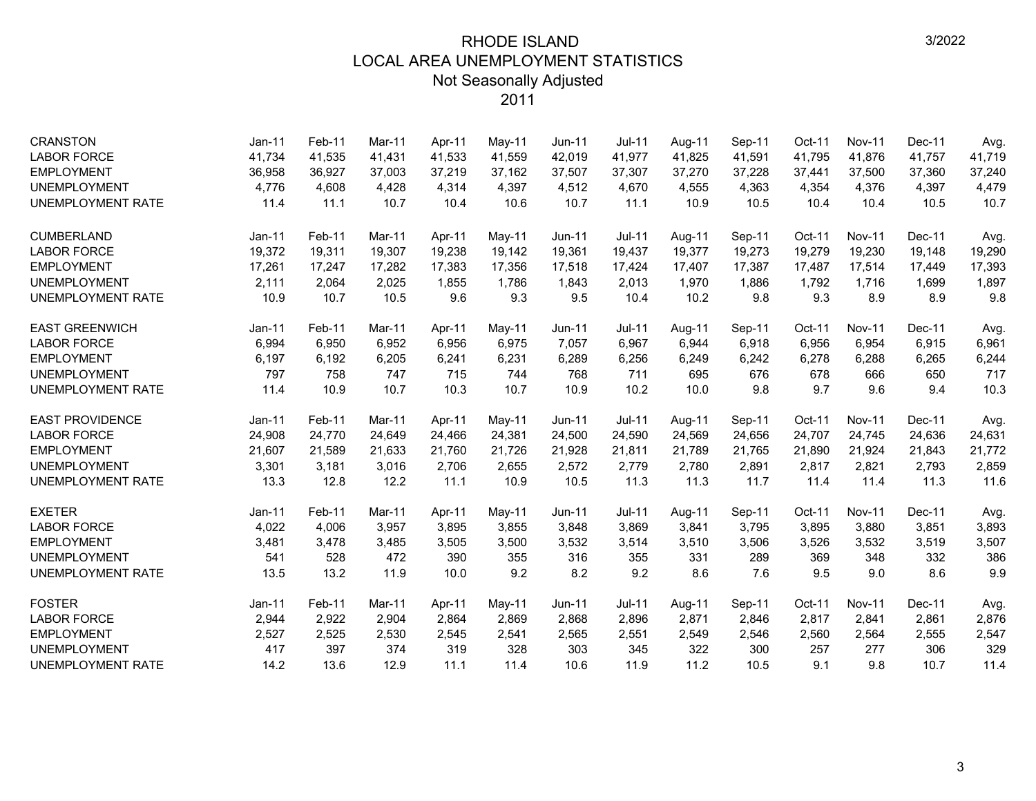| <b>CRANSTON</b>          | $Jan-11$ | Feb-11 | Mar-11 | Apr-11 | May-11 | Jun-11        | <b>Jul-11</b> | Aug-11 | Sep-11 | Oct-11 | <b>Nov-11</b> | Dec-11 | Avg.   |
|--------------------------|----------|--------|--------|--------|--------|---------------|---------------|--------|--------|--------|---------------|--------|--------|
| <b>LABOR FORCE</b>       | 41,734   | 41,535 | 41,431 | 41,533 | 41,559 | 42,019        | 41,977        | 41,825 | 41,591 | 41,795 | 41,876        | 41,757 | 41,719 |
| <b>EMPLOYMENT</b>        | 36,958   | 36,927 | 37,003 | 37,219 | 37,162 | 37,507        | 37,307        | 37,270 | 37,228 | 37,441 | 37,500        | 37,360 | 37,240 |
| <b>UNEMPLOYMENT</b>      | 4,776    | 4,608  | 4,428  | 4,314  | 4,397  | 4,512         | 4,670         | 4,555  | 4,363  | 4,354  | 4,376         | 4,397  | 4,479  |
| <b>UNEMPLOYMENT RATE</b> | 11.4     | 11.1   | 10.7   | 10.4   | 10.6   | 10.7          | 11.1          | 10.9   | 10.5   | 10.4   | 10.4          | 10.5   | 10.7   |
| <b>CUMBERLAND</b>        | $Jan-11$ | Feb-11 | Mar-11 | Apr-11 | May-11 | <b>Jun-11</b> | <b>Jul-11</b> | Aug-11 | Sep-11 | Oct-11 | <b>Nov-11</b> | Dec-11 | Avg.   |
| <b>LABOR FORCE</b>       | 19,372   | 19,311 | 19,307 | 19,238 | 19,142 | 19,361        | 19,437        | 19,377 | 19,273 | 19,279 | 19,230        | 19,148 | 19,290 |
| <b>EMPLOYMENT</b>        | 17,261   | 17,247 | 17.282 | 17,383 | 17,356 | 17,518        | 17,424        | 17,407 | 17,387 | 17,487 | 17,514        | 17,449 | 17,393 |
| <b>UNEMPLOYMENT</b>      | 2,111    | 2,064  | 2,025  | 1,855  | 1,786  | 1,843         | 2,013         | 1,970  | 1,886  | 1,792  | 1,716         | 1,699  | 1,897  |
| <b>UNEMPLOYMENT RATE</b> | 10.9     | 10.7   | 10.5   | 9.6    | 9.3    | 9.5           | 10.4          | 10.2   | 9.8    | 9.3    | 8.9           | 8.9    | 9.8    |
| <b>EAST GREENWICH</b>    | $Jan-11$ | Feb-11 | Mar-11 | Apr-11 | May-11 | <b>Jun-11</b> | $Jul-11$      | Aug-11 | Sep-11 | Oct-11 | <b>Nov-11</b> | Dec-11 | Avg.   |
| <b>LABOR FORCE</b>       | 6,994    | 6,950  | 6,952  | 6,956  | 6,975  | 7,057         | 6,967         | 6,944  | 6,918  | 6,956  | 6,954         | 6,915  | 6,961  |
| <b>EMPLOYMENT</b>        | 6,197    | 6,192  | 6,205  | 6,241  | 6,231  | 6,289         | 6,256         | 6,249  | 6,242  | 6,278  | 6,288         | 6,265  | 6,244  |
| <b>UNEMPLOYMENT</b>      | 797      | 758    | 747    | 715    | 744    | 768           | 711           | 695    | 676    | 678    | 666           | 650    | 717    |
| <b>UNEMPLOYMENT RATE</b> | 11.4     | 10.9   | 10.7   | 10.3   | 10.7   | 10.9          | 10.2          | 10.0   | 9.8    | 9.7    | 9.6           | 9.4    | 10.3   |
| <b>EAST PROVIDENCE</b>   | $Jan-11$ | Feb-11 | Mar-11 | Apr-11 | May-11 | <b>Jun-11</b> | <b>Jul-11</b> | Aug-11 | Sep-11 | Oct-11 | <b>Nov-11</b> | Dec-11 | Avg.   |
| <b>LABOR FORCE</b>       | 24,908   | 24,770 | 24,649 | 24,466 | 24,381 | 24,500        | 24,590        | 24,569 | 24,656 | 24,707 | 24,745        | 24,636 | 24,631 |
| <b>EMPLOYMENT</b>        | 21,607   | 21,589 | 21,633 | 21,760 | 21,726 | 21,928        | 21,811        | 21,789 | 21,765 | 21,890 | 21,924        | 21,843 | 21,772 |
| <b>UNEMPLOYMENT</b>      | 3,301    | 3,181  | 3,016  | 2,706  | 2,655  | 2,572         | 2,779         | 2,780  | 2,891  | 2,817  | 2,821         | 2,793  | 2,859  |
| UNEMPLOYMENT RATE        | 13.3     | 12.8   | 12.2   | 11.1   | 10.9   | 10.5          | 11.3          | 11.3   | 11.7   | 11.4   | 11.4          | 11.3   | 11.6   |
| <b>EXETER</b>            | $Jan-11$ | Feb-11 | Mar-11 | Apr-11 | May-11 | Jun-11        | <b>Jul-11</b> | Aug-11 | Sep-11 | Oct-11 | <b>Nov-11</b> | Dec-11 | Avg.   |
| <b>LABOR FORCE</b>       | 4,022    | 4,006  | 3,957  | 3,895  | 3,855  | 3,848         | 3,869         | 3,841  | 3,795  | 3,895  | 3,880         | 3,851  | 3,893  |
| <b>EMPLOYMENT</b>        | 3,481    | 3,478  | 3,485  | 3,505  | 3,500  | 3,532         | 3,514         | 3,510  | 3,506  | 3,526  | 3,532         | 3,519  | 3,507  |
| <b>UNEMPLOYMENT</b>      | 541      | 528    | 472    | 390    | 355    | 316           | 355           | 331    | 289    | 369    | 348           | 332    | 386    |
| UNEMPLOYMENT RATE        | 13.5     | 13.2   | 11.9   | 10.0   | 9.2    | 8.2           | 9.2           | 8.6    | 7.6    | 9.5    | 9.0           | 8.6    | 9.9    |
| <b>FOSTER</b>            | $Jan-11$ | Feb-11 | Mar-11 | Apr-11 | May-11 | Jun-11        | <b>Jul-11</b> | Aug-11 | Sep-11 | Oct-11 | <b>Nov-11</b> | Dec-11 | Avg.   |
| <b>LABOR FORCE</b>       | 2,944    | 2,922  | 2,904  | 2,864  | 2,869  | 2,868         | 2,896         | 2,871  | 2,846  | 2,817  | 2,841         | 2,861  | 2,876  |
| <b>EMPLOYMENT</b>        | 2,527    | 2,525  | 2,530  | 2,545  | 2,541  | 2,565         | 2,551         | 2,549  | 2,546  | 2,560  | 2,564         | 2,555  | 2,547  |
| <b>UNEMPLOYMENT</b>      | 417      | 397    | 374    | 319    | 328    | 303           | 345           | 322    | 300    | 257    | 277           | 306    | 329    |
| UNEMPLOYMENT RATE        | 14.2     | 13.6   | 12.9   | 11.1   | 11.4   | 10.6          | 11.9          | 11.2   | 10.5   | 9.1    | 9.8           | 10.7   | 11.4   |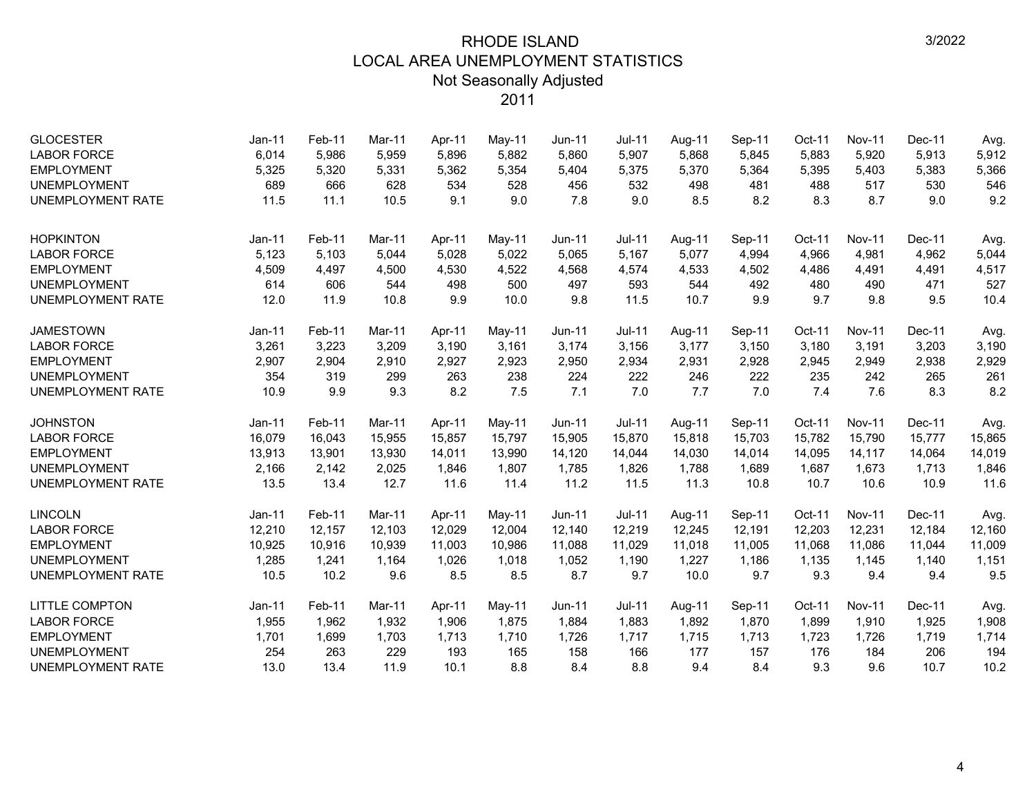| <b>GLOCESTER</b><br><b>LABOR FORCE</b> | Jan-11<br>6,014 | Feb-11<br>5,986 | Mar-11<br>5,959 | Apr-11<br>5,896 | May-11<br>5,882 | $Jun-11$<br>5,860 | <b>Jul-11</b><br>5,907 | Aug-11<br>5,868 | Sep-11<br>5,845 | Oct-11<br>5,883 | <b>Nov-11</b><br>5,920 | Dec-11<br>5,913 | Avg.<br>5,912 |
|----------------------------------------|-----------------|-----------------|-----------------|-----------------|-----------------|-------------------|------------------------|-----------------|-----------------|-----------------|------------------------|-----------------|---------------|
| <b>EMPLOYMENT</b>                      | 5,325           | 5,320           | 5,331           | 5,362           | 5,354           | 5,404             | 5,375                  | 5,370           | 5,364           | 5,395           | 5,403                  | 5,383           | 5,366         |
| <b>UNEMPLOYMENT</b>                    | 689             | 666             | 628             | 534             | 528             | 456               | 532                    | 498             | 481             | 488             | 517                    | 530             | 546           |
| <b>UNEMPLOYMENT RATE</b>               | 11.5            | 11.1            | 10.5            | 9.1             | 9.0             | 7.8               | 9.0                    | 8.5             | 8.2             | 8.3             | 8.7                    | 9.0             | 9.2           |
|                                        |                 |                 |                 |                 |                 |                   |                        |                 |                 |                 |                        |                 |               |
| <b>HOPKINTON</b>                       | Jan-11          | Feb-11          | Mar-11          | Apr-11          | May-11          | <b>Jun-11</b>     | <b>Jul-11</b>          | Aug-11          | Sep-11          | Oct-11          | <b>Nov-11</b>          | Dec-11          | Avg.          |
| <b>LABOR FORCE</b>                     | 5,123           | 5,103           | 5,044           | 5,028           | 5,022           | 5,065             | 5,167                  | 5,077           | 4,994           | 4,966           | 4,981                  | 4,962           | 5,044         |
| <b>EMPLOYMENT</b>                      | 4,509           | 4,497           | 4,500           | 4,530           | 4,522           | 4,568             | 4,574                  | 4,533           | 4,502           | 4,486           | 4,491                  | 4,491           | 4,517         |
| <b>UNEMPLOYMENT</b>                    | 614             | 606             | 544             | 498             | 500             | 497               | 593                    | 544             | 492             | 480             | 490                    | 471             | 527           |
| <b>UNEMPLOYMENT RATE</b>               | 12.0            | 11.9            | 10.8            | 9.9             | 10.0            | 9.8               | 11.5                   | 10.7            | 9.9             | 9.7             | 9.8                    | 9.5             | 10.4          |
| <b>JAMESTOWN</b>                       | Jan-11          | Feb-11          | Mar-11          | Apr-11          | May-11          | <b>Jun-11</b>     | <b>Jul-11</b>          | Aug-11          | Sep-11          | Oct-11          | <b>Nov-11</b>          | Dec-11          | Avg.          |
| <b>LABOR FORCE</b>                     | 3,261           | 3,223           | 3,209           | 3,190           | 3,161           | 3,174             | 3,156                  | 3,177           | 3,150           | 3,180           | 3,191                  | 3,203           | 3,190         |
| <b>EMPLOYMENT</b>                      | 2,907           | 2,904           | 2,910           | 2,927           | 2,923           | 2,950             | 2,934                  | 2,931           | 2,928           | 2,945           | 2,949                  | 2,938           | 2,929         |
| <b>UNEMPLOYMENT</b>                    | 354             | 319             | 299             | 263             | 238             | 224               | 222                    | 246             | 222             | 235             | 242                    | 265             | 261           |
| <b>UNEMPLOYMENT RATE</b>               | 10.9            | 9.9             | 9.3             | 8.2             | 7.5             | 7.1               | 7.0                    | 7.7             | 7.0             | 7.4             | 7.6                    | 8.3             | 8.2           |
| <b>JOHNSTON</b>                        | Jan-11          | Feb-11          | Mar-11          | Apr-11          | May-11          | $Jun-11$          | $Jul-11$               | Aug-11          | Sep-11          | Oct-11          | <b>Nov-11</b>          | Dec-11          | Avg.          |
| <b>LABOR FORCE</b>                     | 16,079          | 16,043          | 15,955          | 15,857          | 15,797          | 15,905            | 15,870                 | 15,818          | 15,703          | 15,782          | 15,790                 | 15,777          | 15,865        |
| <b>EMPLOYMENT</b>                      | 13,913          | 13,901          | 13,930          | 14,011          | 13,990          | 14,120            | 14,044                 | 14,030          | 14,014          | 14,095          | 14,117                 | 14,064          | 14,019        |
| <b>UNEMPLOYMENT</b>                    | 2,166           | 2,142           | 2,025           | 1,846           | 1,807           | 1,785             | 1,826                  | 1,788           | 1,689           | 1,687           | 1,673                  | 1,713           | 1,846         |
| <b>UNEMPLOYMENT RATE</b>               | 13.5            | 13.4            | 12.7            | 11.6            | 11.4            | 11.2              | 11.5                   | 11.3            | 10.8            | 10.7            | 10.6                   | 10.9            | 11.6          |
| <b>LINCOLN</b>                         | Jan-11          | Feb-11          | Mar-11          | Apr-11          | May-11          | <b>Jun-11</b>     | $Jul-11$               | Aug-11          | Sep-11          | Oct-11          | <b>Nov-11</b>          | Dec-11          | Avg.          |
| <b>LABOR FORCE</b>                     | 12,210          | 12,157          | 12,103          | 12,029          | 12,004          | 12,140            | 12,219                 | 12,245          | 12,191          | 12,203          | 12,231                 | 12,184          | 12,160        |
| <b>EMPLOYMENT</b>                      | 10,925          | 10,916          | 10,939          | 11,003          | 10,986          | 11,088            | 11,029                 | 11,018          | 11,005          | 11,068          | 11,086                 | 11,044          | 11,009        |
| <b>UNEMPLOYMENT</b>                    | 1,285           | 1,241           | 1,164           | 1,026           | 1,018           | 1,052             | 1,190                  | 1,227           | 1,186           | 1,135           | 1,145                  | 1,140           | 1,151         |
| <b>UNEMPLOYMENT RATE</b>               | 10.5            | 10.2            | 9.6             | 8.5             | 8.5             | 8.7               | 9.7                    | 10.0            | 9.7             | 9.3             | 9.4                    | 9.4             | 9.5           |
| <b>LITTLE COMPTON</b>                  | Jan-11          | Feb-11          | Mar-11          | Apr-11          | May-11          | <b>Jun-11</b>     | <b>Jul-11</b>          | Aug-11          | Sep-11          | Oct-11          | <b>Nov-11</b>          | Dec-11          | Avg.          |
| <b>LABOR FORCE</b>                     | 1,955           | 1,962           | 1,932           | 1,906           | 1,875           | 1,884             | 1,883                  | 1,892           | 1,870           | 1,899           | 1,910                  | 1,925           | 1,908         |
| <b>EMPLOYMENT</b>                      | 1,701           | 1,699           | 1,703           | 1,713           | 1,710           | 1,726             | 1,717                  | 1,715           | 1,713           | 1,723           | 1,726                  | 1,719           | 1,714         |
| <b>UNEMPLOYMENT</b>                    | 254             | 263             | 229             | 193             | 165             | 158               | 166                    | 177             | 157             | 176             | 184                    | 206             | 194           |
| <b>UNEMPLOYMENT RATE</b>               | 13.0            | 13.4            | 11.9            | 10.1            | 8.8             | 8.4               | 8.8                    | 9.4             | 8.4             | 9.3             | 9.6                    | 10.7            | 10.2          |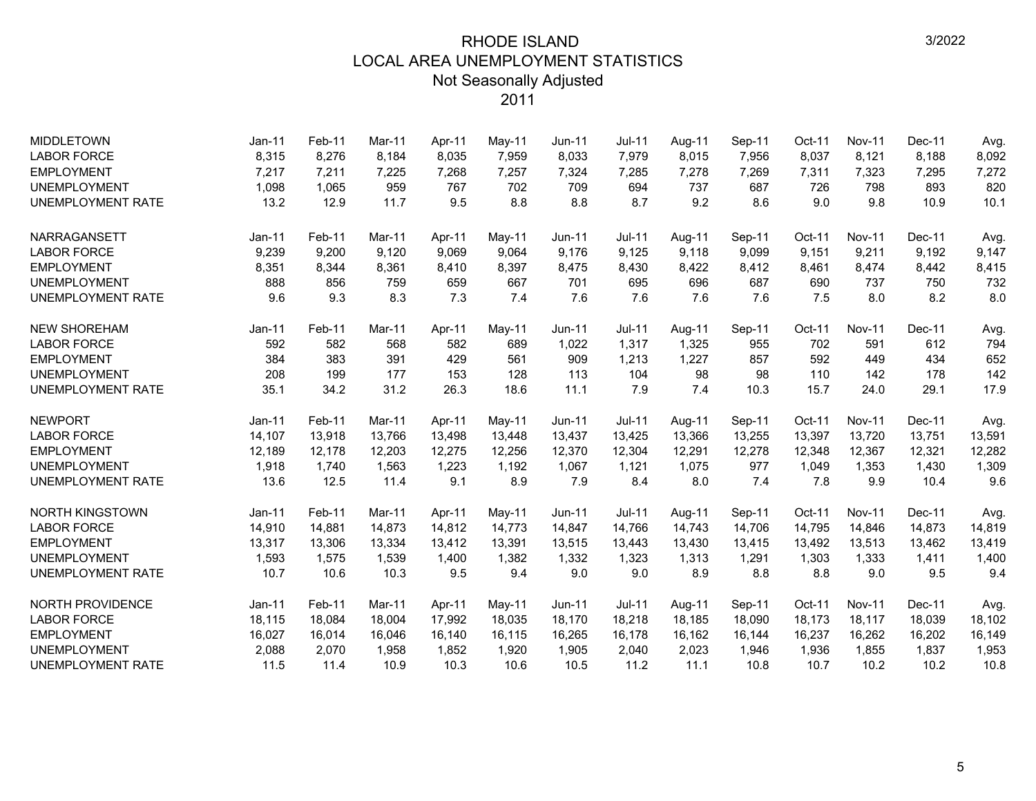| <b>MIDDLETOWN</b>        | Jan-11   | Feb-11 | Mar-11 | Apr-11 | May-11 | Jun-11 | Jul-11        | Aug-11 | Sep-11 | Oct-11 | <b>Nov-11</b> | Dec-11 | Avg.   |
|--------------------------|----------|--------|--------|--------|--------|--------|---------------|--------|--------|--------|---------------|--------|--------|
| <b>LABOR FORCE</b>       | 8,315    | 8,276  | 8,184  | 8,035  | 7,959  | 8,033  | 7,979         | 8,015  | 7,956  | 8,037  | 8,121         | 8,188  | 8,092  |
| <b>EMPLOYMENT</b>        | 7,217    | 7,211  | 7,225  | 7,268  | 7,257  | 7,324  | 7,285         | 7,278  | 7,269  | 7,311  | 7,323         | 7,295  | 7,272  |
| <b>UNEMPLOYMENT</b>      | 1,098    | 1,065  | 959    | 767    | 702    | 709    | 694           | 737    | 687    | 726    | 798           | 893    | 820    |
| UNEMPLOYMENT RATE        | 13.2     | 12.9   | 11.7   | 9.5    | 8.8    | 8.8    | 8.7           | 9.2    | 8.6    | 9.0    | 9.8           | 10.9   | 10.1   |
| NARRAGANSETT             | Jan-11   | Feb-11 | Mar-11 | Apr-11 | May-11 | Jun-11 | <b>Jul-11</b> | Aug-11 | Sep-11 | Oct-11 | <b>Nov-11</b> | Dec-11 | Avg.   |
| <b>LABOR FORCE</b>       | 9,239    | 9,200  | 9,120  | 9,069  | 9,064  | 9,176  | 9,125         | 9,118  | 9,099  | 9,151  | 9,211         | 9,192  | 9,147  |
| <b>EMPLOYMENT</b>        | 8,351    | 8,344  | 8,361  | 8,410  | 8,397  | 8,475  | 8,430         | 8,422  | 8,412  | 8,461  | 8,474         | 8,442  | 8,415  |
| <b>UNEMPLOYMENT</b>      | 888      | 856    | 759    | 659    | 667    | 701    | 695           | 696    | 687    | 690    | 737           | 750    | 732    |
| UNEMPLOYMENT RATE        | 9.6      | 9.3    | 8.3    | 7.3    | 7.4    | 7.6    | 7.6           | 7.6    | 7.6    | 7.5    | 8.0           | 8.2    | 8.0    |
| <b>NEW SHOREHAM</b>      | $Jan-11$ | Feb-11 | Mar-11 | Apr-11 | May-11 | Jun-11 | <b>Jul-11</b> | Aug-11 | Sep-11 | Oct-11 | <b>Nov-11</b> | Dec-11 | Avg.   |
| <b>LABOR FORCE</b>       | 592      | 582    | 568    | 582    | 689    | 1,022  | 1,317         | 1,325  | 955    | 702    | 591           | 612    | 794    |
| <b>EMPLOYMENT</b>        | 384      | 383    | 391    | 429    | 561    | 909    | 1,213         | 1,227  | 857    | 592    | 449           | 434    | 652    |
| <b>UNEMPLOYMENT</b>      | 208      | 199    | 177    | 153    | 128    | 113    | 104           | 98     | 98     | 110    | 142           | 178    | 142    |
| UNEMPLOYMENT RATE        | 35.1     | 34.2   | 31.2   | 26.3   | 18.6   | 11.1   | 7.9           | 7.4    | 10.3   | 15.7   | 24.0          | 29.1   | 17.9   |
| <b>NEWPORT</b>           | $Jan-11$ | Feb-11 | Mar-11 | Apr-11 | May-11 | Jun-11 | <b>Jul-11</b> | Aug-11 | Sep-11 | Oct-11 | <b>Nov-11</b> | Dec-11 | Avg.   |
| <b>LABOR FORCE</b>       | 14,107   | 13,918 | 13,766 | 13,498 | 13,448 | 13,437 | 13,425        | 13,366 | 13,255 | 13,397 | 13,720        | 13,751 | 13,591 |
| <b>EMPLOYMENT</b>        | 12,189   | 12,178 | 12.203 | 12,275 | 12,256 | 12,370 | 12,304        | 12,291 | 12,278 | 12,348 | 12,367        | 12,321 | 12,282 |
| <b>UNEMPLOYMENT</b>      | 1,918    | 1,740  | 1,563  | 1,223  | 1,192  | 1,067  | 1,121         | 1,075  | 977    | 1,049  | 1,353         | 1,430  | 1,309  |
| <b>UNEMPLOYMENT RATE</b> | 13.6     | 12.5   | 11.4   | 9.1    | 8.9    | 7.9    | 8.4           | 8.0    | 7.4    | 7.8    | 9.9           | 10.4   | 9.6    |
| <b>NORTH KINGSTOWN</b>   | $Jan-11$ | Feb-11 | Mar-11 | Apr-11 | May-11 | Jun-11 | $Jul-11$      | Aug-11 | Sep-11 | Oct-11 | <b>Nov-11</b> | Dec-11 | Avg.   |
| <b>LABOR FORCE</b>       | 14,910   | 14,881 | 14,873 | 14,812 | 14,773 | 14,847 | 14,766        | 14,743 | 14,706 | 14,795 | 14,846        | 14,873 | 14,819 |
| <b>EMPLOYMENT</b>        | 13,317   | 13,306 | 13,334 | 13,412 | 13,391 | 13,515 | 13,443        | 13,430 | 13,415 | 13,492 | 13,513        | 13,462 | 13,419 |
| <b>UNEMPLOYMENT</b>      | 1,593    | 1,575  | 1,539  | 1,400  | 1,382  | 1,332  | 1,323         | 1,313  | 1,291  | 1,303  | 1,333         | 1,411  | 1,400  |
| <b>UNEMPLOYMENT RATE</b> | 10.7     | 10.6   | 10.3   | 9.5    | 9.4    | 9.0    | 9.0           | 8.9    | 8.8    | 8.8    | 9.0           | 9.5    | 9.4    |
| NORTH PROVIDENCE         | $Jan-11$ | Feb-11 | Mar-11 | Apr-11 | May-11 | Jun-11 | $Jul-11$      | Aug-11 | Sep-11 | Oct-11 | <b>Nov-11</b> | Dec-11 | Avg.   |
| <b>LABOR FORCE</b>       | 18,115   | 18,084 | 18,004 | 17,992 | 18,035 | 18,170 | 18,218        | 18,185 | 18,090 | 18,173 | 18,117        | 18,039 | 18,102 |
| <b>EMPLOYMENT</b>        | 16,027   | 16,014 | 16,046 | 16,140 | 16,115 | 16,265 | 16,178        | 16,162 | 16,144 | 16,237 | 16,262        | 16,202 | 16,149 |
| <b>UNEMPLOYMENT</b>      | 2,088    | 2,070  | 1,958  | 1,852  | 1,920  | 1,905  | 2,040         | 2,023  | 1,946  | 1,936  | 1,855         | 1,837  | 1,953  |
| <b>UNEMPLOYMENT RATE</b> | 11.5     | 11.4   | 10.9   | 10.3   | 10.6   | 10.5   | 11.2          | 11.1   | 10.8   | 10.7   | 10.2          | 10.2   | 10.8   |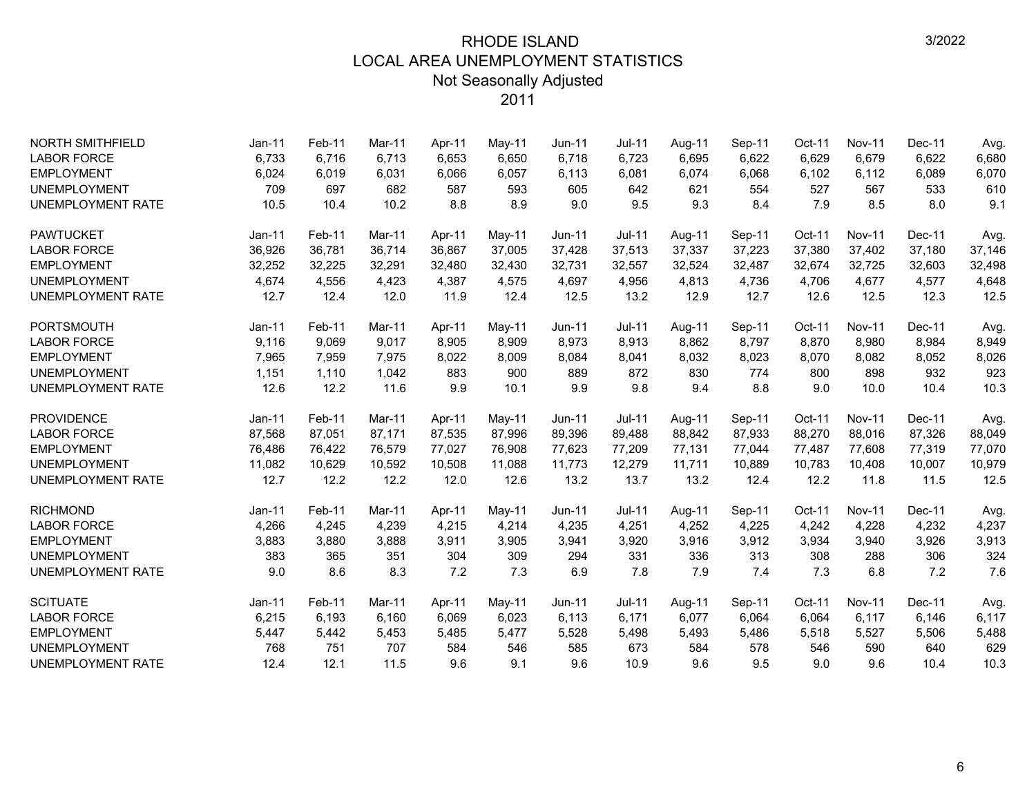| <b>NORTH SMITHFIELD</b>  | $Jan-11$ | Feb-11 | <b>Mar-11</b> | Apr-11 | May-11 | $Jun-11$      | <b>Jul-11</b> | Aug-11 | Sep-11 | Oct-11 | <b>Nov-11</b> | Dec-11 | Avg.   |
|--------------------------|----------|--------|---------------|--------|--------|---------------|---------------|--------|--------|--------|---------------|--------|--------|
| <b>LABOR FORCE</b>       | 6,733    | 6,716  | 6.713         | 6,653  | 6,650  | 6.718         | 6,723         | 6,695  | 6,622  | 6,629  | 6,679         | 6,622  | 6,680  |
| <b>EMPLOYMENT</b>        | 6,024    | 6,019  | 6,031         | 6,066  | 6,057  | 6,113         | 6,081         | 6,074  | 6,068  | 6,102  | 6,112         | 6,089  | 6,070  |
| <b>UNEMPLOYMENT</b>      | 709      | 697    | 682           | 587    | 593    | 605           | 642           | 621    | 554    | 527    | 567           | 533    | 610    |
| <b>UNEMPLOYMENT RATE</b> | 10.5     | 10.4   | 10.2          | 8.8    | 8.9    | 9.0           | 9.5           | 9.3    | 8.4    | 7.9    | 8.5           | 8.0    | 9.1    |
| <b>PAWTUCKET</b>         | $Jan-11$ | Feb-11 | Mar-11        | Apr-11 | May-11 | $Jun-11$      | $Jul-11$      | Aug-11 | Sep-11 | Oct-11 | <b>Nov-11</b> | Dec-11 | Avg.   |
| <b>LABOR FORCE</b>       | 36,926   | 36,781 | 36,714        | 36,867 | 37,005 | 37,428        | 37,513        | 37,337 | 37,223 | 37,380 | 37,402        | 37,180 | 37,146 |
| <b>EMPLOYMENT</b>        | 32,252   | 32,225 | 32,291        | 32,480 | 32,430 | 32,731        | 32,557        | 32,524 | 32,487 | 32,674 | 32,725        | 32,603 | 32,498 |
| <b>UNEMPLOYMENT</b>      | 4,674    | 4,556  | 4,423         | 4,387  | 4,575  | 4,697         | 4,956         | 4,813  | 4,736  | 4,706  | 4,677         | 4,577  | 4,648  |
| <b>UNEMPLOYMENT RATE</b> | 12.7     | 12.4   | 12.0          | 11.9   | 12.4   | 12.5          | 13.2          | 12.9   | 12.7   | 12.6   | 12.5          | 12.3   | 12.5   |
| <b>PORTSMOUTH</b>        | $Jan-11$ | Feb-11 | <b>Mar-11</b> | Apr-11 | May-11 | <b>Jun-11</b> | <b>Jul-11</b> | Aug-11 | Sep-11 | Oct-11 | <b>Nov-11</b> | Dec-11 | Avg.   |
| <b>LABOR FORCE</b>       | 9,116    | 9,069  | 9,017         | 8,905  | 8,909  | 8,973         | 8,913         | 8,862  | 8,797  | 8,870  | 8,980         | 8,984  | 8,949  |
| <b>EMPLOYMENT</b>        | 7,965    | 7,959  | 7,975         | 8,022  | 8,009  | 8,084         | 8,041         | 8,032  | 8,023  | 8,070  | 8,082         | 8,052  | 8,026  |
| <b>UNEMPLOYMENT</b>      | 1,151    | 1,110  | 1,042         | 883    | 900    | 889           | 872           | 830    | 774    | 800    | 898           | 932    | 923    |
| <b>UNEMPLOYMENT RATE</b> | 12.6     | 12.2   | 11.6          | 9.9    | 10.1   | 9.9           | 9.8           | 9.4    | 8.8    | 9.0    | 10.0          | 10.4   | 10.3   |
| <b>PROVIDENCE</b>        | $Jan-11$ | Feb-11 | <b>Mar-11</b> | Apr-11 | May-11 | <b>Jun-11</b> | <b>Jul-11</b> | Aug-11 | Sep-11 | Oct-11 | <b>Nov-11</b> | Dec-11 | Avg.   |
| <b>LABOR FORCE</b>       | 87,568   | 87,051 | 87,171        | 87,535 | 87,996 | 89,396        | 89,488        | 88,842 | 87,933 | 88,270 | 88,016        | 87,326 | 88,049 |
| <b>EMPLOYMENT</b>        | 76,486   | 76,422 | 76,579        | 77,027 | 76,908 | 77,623        | 77,209        | 77,131 | 77,044 | 77,487 | 77,608        | 77,319 | 77,070 |
| <b>UNEMPLOYMENT</b>      | 11.082   | 10,629 | 10.592        | 10,508 | 11,088 | 11,773        | 12,279        | 11,711 | 10,889 | 10,783 | 10,408        | 10,007 | 10,979 |
| <b>UNEMPLOYMENT RATE</b> | 12.7     | 12.2   | 12.2          | 12.0   | 12.6   | 13.2          | 13.7          | 13.2   | 12.4   | 12.2   | 11.8          | 11.5   | 12.5   |
| <b>RICHMOND</b>          | $Jan-11$ | Feb-11 | <b>Mar-11</b> | Apr-11 | May-11 | <b>Jun-11</b> | <b>Jul-11</b> | Aug-11 | Sep-11 | Oct-11 | <b>Nov-11</b> | Dec-11 | Avg.   |
| <b>LABOR FORCE</b>       | 4,266    | 4,245  | 4,239         | 4,215  | 4,214  | 4,235         | 4,251         | 4,252  | 4,225  | 4,242  | 4,228         | 4,232  | 4,237  |
| <b>EMPLOYMENT</b>        | 3,883    | 3,880  | 3,888         | 3,911  | 3,905  | 3,941         | 3,920         | 3,916  | 3,912  | 3,934  | 3,940         | 3,926  | 3,913  |
| <b>UNEMPLOYMENT</b>      | 383      | 365    | 351           | 304    | 309    | 294           | 331           | 336    | 313    | 308    | 288           | 306    | 324    |
| <b>UNEMPLOYMENT RATE</b> | 9.0      | 8.6    | 8.3           | 7.2    | 7.3    | 6.9           | 7.8           | 7.9    | 7.4    | 7.3    | 6.8           | 7.2    | 7.6    |
| <b>SCITUATE</b>          | $Jan-11$ | Feb-11 | Mar-11        | Apr-11 | May-11 | <b>Jun-11</b> | $Jul-11$      | Aug-11 | Sep-11 | Oct-11 | <b>Nov-11</b> | Dec-11 | Avg.   |
| <b>LABOR FORCE</b>       | 6,215    | 6,193  | 6,160         | 6,069  | 6,023  | 6,113         | 6,171         | 6,077  | 6,064  | 6,064  | 6,117         | 6,146  | 6,117  |
| <b>EMPLOYMENT</b>        | 5,447    | 5,442  | 5,453         | 5,485  | 5,477  | 5,528         | 5,498         | 5,493  | 5,486  | 5,518  | 5,527         | 5,506  | 5,488  |
| <b>UNEMPLOYMENT</b>      | 768      | 751    | 707           | 584    | 546    | 585           | 673           | 584    | 578    | 546    | 590           | 640    | 629    |
| <b>UNEMPLOYMENT RATE</b> | 12.4     | 12.1   | 11.5          | 9.6    | 9.1    | 9.6           | 10.9          | 9.6    | 9.5    | 9.0    | 9.6           | 10.4   | 10.3   |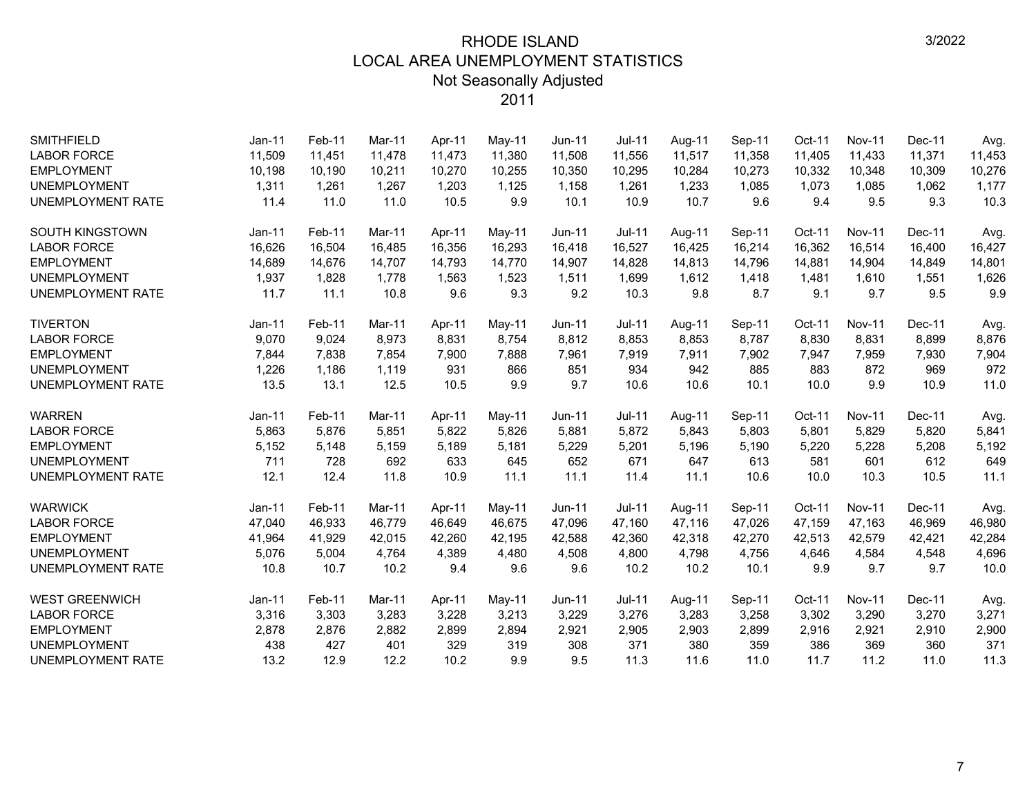| <b>SMITHFIELD</b>        | $Jan-11$ | Feb-11 | Mar-11 | Apr-11 | May-11 | Jun-11        | <b>Jul-11</b> | Aug-11 | Sep-11 | Oct-11   | <b>Nov-11</b> | Dec-11 | Avg.   |
|--------------------------|----------|--------|--------|--------|--------|---------------|---------------|--------|--------|----------|---------------|--------|--------|
| <b>LABOR FORCE</b>       | 11,509   | 11,451 | 11.478 | 11.473 | 11,380 | 11,508        | 11,556        | 11,517 | 11,358 | 11,405   | 11,433        | 11,371 | 11,453 |
| <b>EMPLOYMENT</b>        | 10,198   | 10,190 | 10,211 | 10,270 | 10,255 | 10,350        | 10,295        | 10,284 | 10,273 | 10,332   | 10,348        | 10,309 | 10,276 |
| <b>UNEMPLOYMENT</b>      | 1,311    | 1,261  | 1,267  | 1,203  | 1,125  | 1,158         | 1,261         | 1,233  | 1,085  | 1,073    | 1,085         | 1,062  | 1,177  |
| UNEMPLOYMENT RATE        | 11.4     | 11.0   | 11.0   | 10.5   | 9.9    | 10.1          | 10.9          | 10.7   | 9.6    | 9.4      | 9.5           | 9.3    | 10.3   |
| <b>SOUTH KINGSTOWN</b>   | $Jan-11$ | Feb-11 | Mar-11 | Apr-11 | May-11 | Jun-11        | <b>Jul-11</b> | Aug-11 | Sep-11 | Oct-11   | <b>Nov-11</b> | Dec-11 | Avg.   |
| <b>LABOR FORCE</b>       | 16,626   | 16,504 | 16,485 | 16,356 | 16,293 | 16,418        | 16,527        | 16,425 | 16,214 | 16,362   | 16,514        | 16,400 | 16,427 |
| <b>EMPLOYMENT</b>        | 14,689   | 14,676 | 14,707 | 14,793 | 14,770 | 14,907        | 14,828        | 14,813 | 14,796 | 14,881   | 14,904        | 14,849 | 14,801 |
| <b>UNEMPLOYMENT</b>      | 1,937    | 1,828  | 1,778  | 1,563  | 1,523  | 1,511         | 1,699         | 1,612  | 1,418  | 1,481    | 1,610         | 1,551  | 1,626  |
| <b>UNEMPLOYMENT RATE</b> | 11.7     | 11.1   | 10.8   | 9.6    | 9.3    | 9.2           | 10.3          | 9.8    | 8.7    | 9.1      | 9.7           | 9.5    | 9.9    |
| <b>TIVERTON</b>          | $Jan-11$ | Feb-11 | Mar-11 | Apr-11 | May-11 | Jun-11        | <b>Jul-11</b> | Aug-11 | Sep-11 | Oct-11   | <b>Nov-11</b> | Dec-11 | Avg.   |
| <b>LABOR FORCE</b>       | 9,070    | 9,024  | 8,973  | 8,831  | 8,754  | 8,812         | 8,853         | 8,853  | 8,787  | 8,830    | 8,831         | 8,899  | 8,876  |
| <b>EMPLOYMENT</b>        | 7,844    | 7,838  | 7,854  | 7,900  | 7,888  | 7,961         | 7,919         | 7,911  | 7,902  | 7,947    | 7,959         | 7,930  | 7,904  |
| <b>UNEMPLOYMENT</b>      | 1,226    | 1,186  | 1,119  | 931    | 866    | 851           | 934           | 942    | 885    | 883      | 872           | 969    | 972    |
| <b>UNEMPLOYMENT RATE</b> | 13.5     | 13.1   | 12.5   | 10.5   | 9.9    | 9.7           | 10.6          | 10.6   | 10.1   | 10.0     | 9.9           | 10.9   | 11.0   |
| <b>WARREN</b>            | Jan-11   | Feb-11 | Mar-11 | Apr-11 | May-11 | Jun-11        | Jul-11        | Aug-11 | Sep-11 | Oct-11   | <b>Nov-11</b> | Dec-11 | Avg.   |
| <b>LABOR FORCE</b>       | 5,863    | 5,876  | 5.851  | 5,822  | 5,826  | 5,881         | 5,872         | 5.843  | 5,803  | 5,801    | 5,829         | 5,820  | 5,841  |
| <b>EMPLOYMENT</b>        | 5,152    | 5,148  | 5,159  | 5,189  | 5,181  | 5,229         | 5,201         | 5,196  | 5,190  | 5,220    | 5,228         | 5,208  | 5,192  |
| <b>UNEMPLOYMENT</b>      | 711      | 728    | 692    | 633    | 645    | 652           | 671           | 647    | 613    | 581      | 601           | 612    | 649    |
| UNEMPLOYMENT RATE        | 12.1     | 12.4   | 11.8   | 10.9   | 11.1   | 11.1          | 11.4          | 11.1   | 10.6   | 10.0     | 10.3          | 10.5   | 11.1   |
| <b>WARWICK</b>           | $Jan-11$ | Feb-11 | Mar-11 | Apr-11 | May-11 | Jun-11        | <b>Jul-11</b> | Aug-11 | Sep-11 | Oct-11   | <b>Nov-11</b> | Dec-11 | Avg.   |
| <b>LABOR FORCE</b>       | 47,040   | 46,933 | 46,779 | 46,649 | 46,675 | 47,096        | 47,160        | 47,116 | 47,026 | 47,159   | 47,163        | 46,969 | 46,980 |
| <b>EMPLOYMENT</b>        | 41,964   | 41,929 | 42,015 | 42,260 | 42,195 | 42,588        | 42,360        | 42,318 | 42,270 | 42,513   | 42,579        | 42,421 | 42,284 |
| <b>UNEMPLOYMENT</b>      | 5,076    | 5,004  | 4,764  | 4,389  | 4,480  | 4,508         | 4,800         | 4,798  | 4,756  | 4,646    | 4,584         | 4,548  | 4,696  |
| UNEMPLOYMENT RATE        | 10.8     | 10.7   | 10.2   | 9.4    | 9.6    | 9.6           | 10.2          | 10.2   | 10.1   | 9.9      | 9.7           | 9.7    | 10.0   |
| <b>WEST GREENWICH</b>    | $Jan-11$ | Feb-11 | Mar-11 | Apr-11 | May-11 | <b>Jun-11</b> | $Jul-11$      | Aug-11 | Sep-11 | $Oct-11$ | <b>Nov-11</b> | Dec-11 | Avg.   |
| <b>LABOR FORCE</b>       | 3,316    | 3,303  | 3,283  | 3,228  | 3,213  | 3,229         | 3,276         | 3,283  | 3,258  | 3,302    | 3,290         | 3,270  | 3,271  |
| <b>EMPLOYMENT</b>        | 2,878    | 2,876  | 2,882  | 2,899  | 2,894  | 2,921         | 2,905         | 2,903  | 2,899  | 2,916    | 2,921         | 2,910  | 2,900  |
| <b>UNEMPLOYMENT</b>      | 438      | 427    | 401    | 329    | 319    | 308           | 371           | 380    | 359    | 386      | 369           | 360    | 371    |
| <b>UNEMPLOYMENT RATE</b> |          |        |        |        |        |               |               |        |        |          |               |        |        |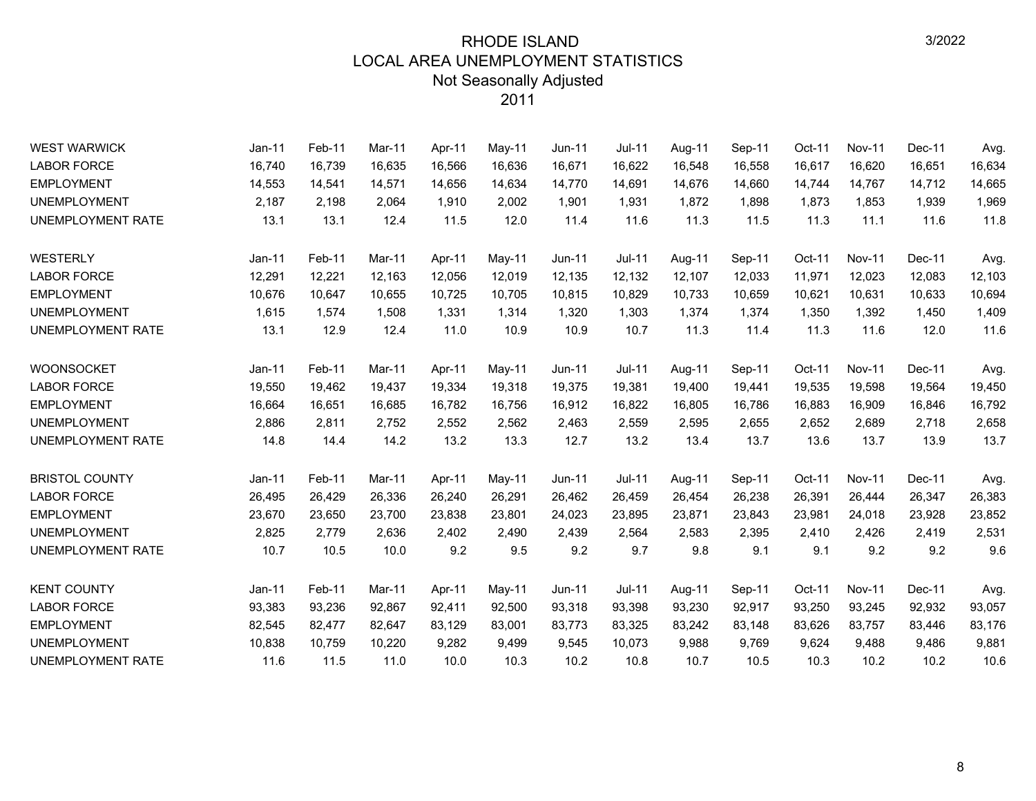| <b>WEST WARWICK</b>      | Jan-11   | Feb-11 | Mar-11 | Apr-11 | May-11 | <b>Jun-11</b> | Jul-11        | Aug-11 | Sep-11 | Oct-11 | <b>Nov-11</b> | Dec-11 | Avg.   |
|--------------------------|----------|--------|--------|--------|--------|---------------|---------------|--------|--------|--------|---------------|--------|--------|
| <b>LABOR FORCE</b>       | 16,740   | 16,739 | 16,635 | 16,566 | 16,636 | 16,671        | 16,622        | 16,548 | 16,558 | 16,617 | 16,620        | 16,651 | 16,634 |
| <b>EMPLOYMENT</b>        | 14,553   | 14,541 | 14,571 | 14,656 | 14,634 | 14,770        | 14,691        | 14,676 | 14,660 | 14,744 | 14,767        | 14,712 | 14,665 |
| <b>UNEMPLOYMENT</b>      | 2,187    | 2,198  | 2,064  | 1,910  | 2,002  | 1,901         | 1,931         | 1,872  | 1,898  | 1,873  | 1,853         | 1,939  | 1,969  |
| <b>UNEMPLOYMENT RATE</b> | 13.1     | 13.1   | 12.4   | 11.5   | 12.0   | 11.4          | 11.6          | 11.3   | 11.5   | 11.3   | 11.1          | 11.6   | 11.8   |
| <b>WESTERLY</b>          | $Jan-11$ | Feb-11 | Mar-11 | Apr-11 | May-11 | <b>Jun-11</b> | <b>Jul-11</b> | Aug-11 | Sep-11 | Oct-11 | <b>Nov-11</b> | Dec-11 | Avg.   |
| <b>LABOR FORCE</b>       | 12,291   | 12,221 | 12,163 | 12,056 | 12,019 | 12,135        | 12,132        | 12,107 | 12,033 | 11,971 | 12,023        | 12,083 | 12,103 |
| <b>EMPLOYMENT</b>        | 10,676   | 10,647 | 10.655 | 10,725 | 10,705 | 10,815        | 10,829        | 10,733 | 10,659 | 10,621 | 10,631        | 10,633 | 10,694 |
| <b>UNEMPLOYMENT</b>      | 1,615    | 1,574  | 1,508  | 1,331  | 1,314  | 1,320         | 1,303         | 1,374  | 1,374  | 1,350  | 1,392         | 1,450  | 1,409  |
| UNEMPLOYMENT RATE        | 13.1     | 12.9   | 12.4   | 11.0   | 10.9   | 10.9          | 10.7          | 11.3   | 11.4   | 11.3   | 11.6          | 12.0   | 11.6   |
| <b>WOONSOCKET</b>        | $Jan-11$ | Feb-11 | Mar-11 | Apr-11 | May-11 | Jun-11        | <b>Jul-11</b> | Aug-11 | Sep-11 | Oct-11 | <b>Nov-11</b> | Dec-11 | Avg.   |
| <b>LABOR FORCE</b>       | 19,550   | 19,462 | 19,437 | 19,334 | 19,318 | 19,375        | 19,381        | 19,400 | 19,441 | 19,535 | 19,598        | 19,564 | 19,450 |
| <b>EMPLOYMENT</b>        | 16,664   | 16,651 | 16,685 | 16,782 | 16,756 | 16,912        | 16,822        | 16,805 | 16,786 | 16,883 | 16,909        | 16,846 | 16,792 |
| <b>UNEMPLOYMENT</b>      | 2,886    | 2,811  | 2.752  | 2,552  | 2,562  | 2,463         | 2,559         | 2,595  | 2,655  | 2,652  | 2,689         | 2,718  | 2,658  |
| <b>UNEMPLOYMENT RATE</b> | 14.8     | 14.4   | 14.2   | 13.2   | 13.3   | 12.7          | 13.2          | 13.4   | 13.7   | 13.6   | 13.7          | 13.9   | 13.7   |
| <b>BRISTOL COUNTY</b>    | $Jan-11$ | Feb-11 | Mar-11 | Apr-11 | May-11 | Jun-11        | <b>Jul-11</b> | Aug-11 | Sep-11 | Oct-11 | <b>Nov-11</b> | Dec-11 | Avg.   |
| <b>LABOR FORCE</b>       | 26,495   | 26,429 | 26,336 | 26,240 | 26,291 | 26,462        | 26.459        | 26,454 | 26,238 | 26,391 | 26,444        | 26,347 | 26,383 |
| <b>EMPLOYMENT</b>        | 23,670   | 23,650 | 23,700 | 23,838 | 23,801 | 24,023        | 23,895        | 23,871 | 23,843 | 23,981 | 24,018        | 23,928 | 23,852 |
| <b>UNEMPLOYMENT</b>      | 2,825    | 2,779  | 2,636  | 2,402  | 2,490  | 2,439         | 2,564         | 2,583  | 2,395  | 2,410  | 2,426         | 2,419  | 2,531  |
| <b>UNEMPLOYMENT RATE</b> | 10.7     | 10.5   | 10.0   | 9.2    | 9.5    | 9.2           | 9.7           | 9.8    | 9.1    | 9.1    | 9.2           | 9.2    | 9.6    |
| <b>KENT COUNTY</b>       | $Jan-11$ | Feb-11 | Mar-11 | Apr-11 | May-11 | Jun-11        | <b>Jul-11</b> | Aug-11 | Sep-11 | Oct-11 | <b>Nov-11</b> | Dec-11 | Avg.   |
| <b>LABOR FORCE</b>       | 93,383   | 93,236 | 92,867 | 92,411 | 92,500 | 93,318        | 93,398        | 93,230 | 92,917 | 93,250 | 93,245        | 92,932 | 93,057 |
| <b>EMPLOYMENT</b>        | 82,545   | 82,477 | 82,647 | 83,129 | 83,001 | 83,773        | 83,325        | 83,242 | 83,148 | 83,626 | 83,757        | 83,446 | 83,176 |
| <b>UNEMPLOYMENT</b>      | 10,838   | 10,759 | 10,220 | 9,282  | 9,499  | 9,545         | 10,073        | 9,988  | 9,769  | 9,624  | 9,488         | 9,486  | 9,881  |
| <b>UNEMPLOYMENT RATE</b> | 11.6     | 11.5   | 11.0   | 10.0   | 10.3   | 10.2          | 10.8          | 10.7   | 10.5   | 10.3   | 10.2          | 10.2   | 10.6   |